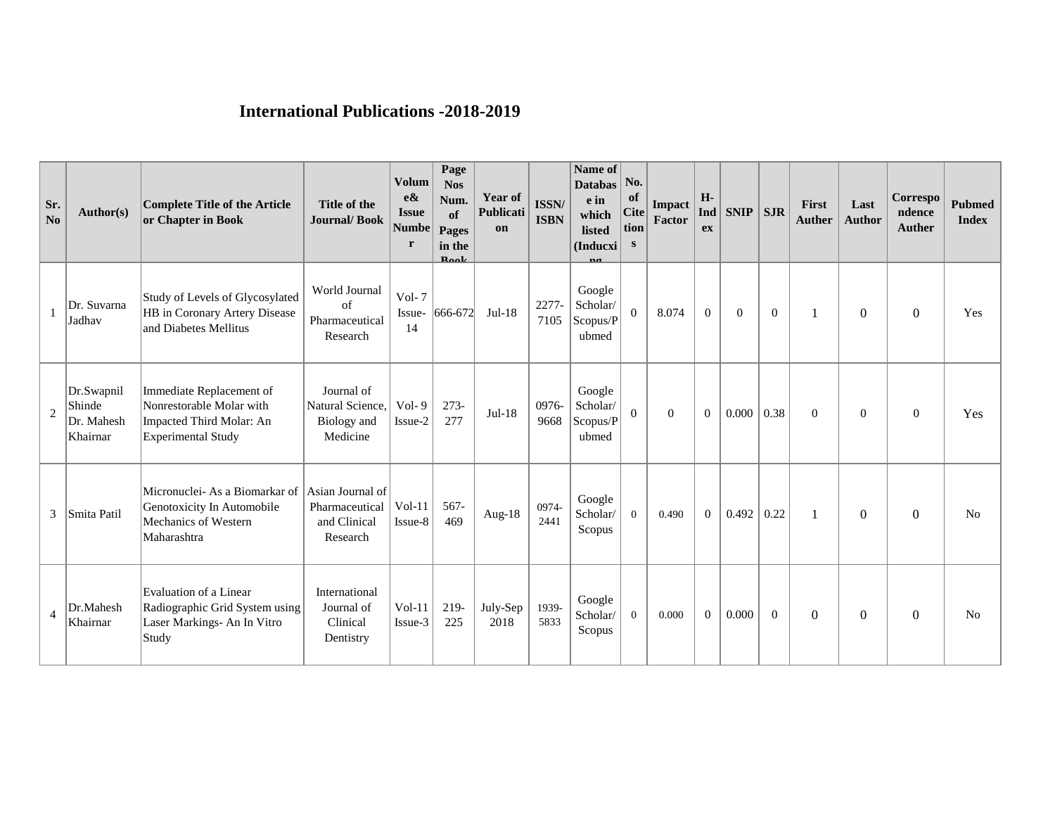## **International Publications -2018-2019**

| Sr.<br>No | Author(s)                                      | Complete Title of the Article<br>or Chapter in Book                                                    | Title of the<br><b>Journal/Book</b>                            | <b>Volum</b><br>$e\&$<br><b>Issue</b><br>Numbe<br>r | Page<br><b>Nos</b><br>Num.<br>of<br>Pages<br>in the<br>$\mathbf{R}$ aalz | Year of<br>Publicati<br>on | <b>ISSN/</b><br><b>ISBN</b> | Name of<br><b>Databas</b><br>e in<br>which<br>listed<br>(Inducxi | No.<br>of<br>Cite<br>tion<br>S | <b>Impact</b><br>Factor | H-<br>Ind<br>ex | $SNIP$ SJR     |                | First<br><b>Auther</b> | Last<br><b>Author</b> | Correspo<br>ndence<br>Auther | <b>Pubmed</b><br><b>Index</b> |
|-----------|------------------------------------------------|--------------------------------------------------------------------------------------------------------|----------------------------------------------------------------|-----------------------------------------------------|--------------------------------------------------------------------------|----------------------------|-----------------------------|------------------------------------------------------------------|--------------------------------|-------------------------|-----------------|----------------|----------------|------------------------|-----------------------|------------------------------|-------------------------------|
|           | Dr. Suvarna<br>Jadhav                          | Study of Levels of Glycosylated<br>HB in Coronary Artery Disease<br>and Diabetes Mellitus              | World Journal<br>of<br>Pharmaceutical<br>Research              | $Vol-7$<br>Issue-<br>14                             | $ 666 - 672 $                                                            | $Jul-18$                   | 2277-<br>7105               | Google<br>Scholar/<br>Scopus/P<br>ubmed                          | $\theta$                       | 8.074                   | $\overline{0}$  | $\overline{0}$ | $\overline{0}$ |                        | 0                     | $\overline{0}$               | Yes                           |
| 2         | Dr.Swapnil<br>Shinde<br>Dr. Mahesh<br>Khairnar | Immediate Replacement of<br>Nonrestorable Molar with<br>Impacted Third Molar: An<br>Experimental Study | Journal of<br>Natural Science.<br>Biology and<br>Medicine      | $Vol-9$<br>Issue-2                                  | $273-$<br>277                                                            | $Jul-18$                   | 0976-<br>9668               | Google<br>Scholar/<br>Scopus/P<br>ubmed                          | $\Omega$                       | $\overline{0}$          | $\Omega$        | 0.000          | 0.38           | $\mathbf{0}$           | $\overline{0}$        | $\overline{0}$               | Yes                           |
| 3         | Smita Patil                                    | Micronuclei- As a Biomarkar of<br>Genotoxicity In Automobile<br>Mechanics of Western<br>Maharashtra    | Asian Journal of<br>Pharmaceutical<br>and Clinical<br>Research | $Vol-11$<br>Issue-8                                 | 567-<br>469                                                              | Aug- $18$                  | 0974-<br>2441               | Google<br>Scholar/<br>Scopus                                     | $\Omega$                       | 0.490                   | $\Omega$        | 0.492          | 0.22           |                        | $\Omega$              | $\Omega$                     | N <sub>0</sub>                |
| 4         | Dr.Mahesh<br>Khairnar                          | Evaluation of a Linear<br>Radiographic Grid System using<br>Laser Markings- An In Vitro<br>Study       | International<br>Journal of<br>Clinical<br>Dentistry           | $Vol-11$<br>Issue-3                                 | 219-<br>225                                                              | July-Sep<br>2018           | 1939-<br>5833               | Google<br>Scholar/<br>Scopus                                     | $\Omega$                       | 0.000                   | $\overline{0}$  | 0.000          | $\overline{0}$ | $\boldsymbol{0}$       | $\overline{0}$        | $\theta$                     | N <sub>0</sub>                |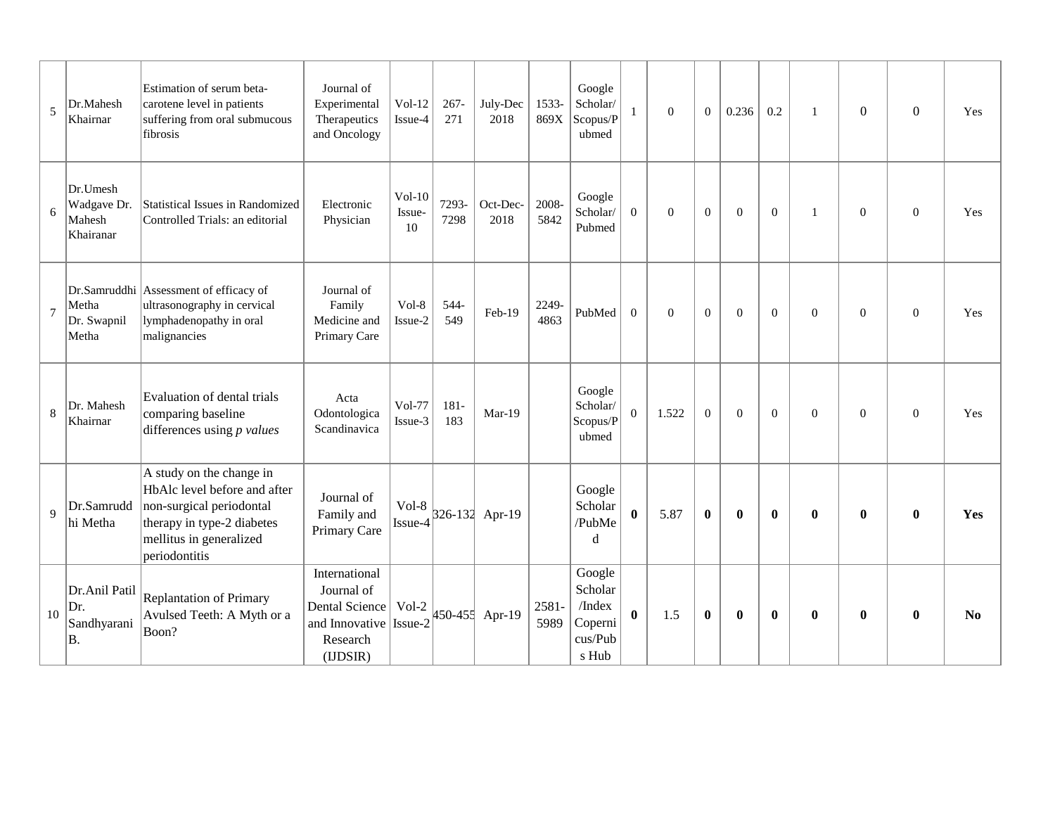| 5       | Dr.Mahesh<br>Khairnar                          | Estimation of serum beta-<br>carotene level in patients<br>suffering from oral submucous<br>fibrosis                                                           | Journal of<br>Experimental<br>Therapeutics<br>and Oncology                                     | $Vol-12$<br>Issue-4      | $267 -$<br>271 | July-Dec<br>2018 | 1533-<br>869X | Google<br>Scholar/<br>Scopus/P<br>ubmed                    | 1              | $\theta$       | $\overline{0}$ | 0.236        | 0.2            | $\mathbf{1}$     | $\boldsymbol{0}$ | $\boldsymbol{0}$ | Yes            |
|---------|------------------------------------------------|----------------------------------------------------------------------------------------------------------------------------------------------------------------|------------------------------------------------------------------------------------------------|--------------------------|----------------|------------------|---------------|------------------------------------------------------------|----------------|----------------|----------------|--------------|----------------|------------------|------------------|------------------|----------------|
| 6       | Dr.Umesh<br>Wadgave Dr.<br>Mahesh<br>Khairanar | Statistical Issues in Randomized<br>Controlled Trials: an editorial                                                                                            | Electronic<br>Physician                                                                        | $Vol-10$<br>Issue-<br>10 | 7293-<br>7298  | Oct-Dec-<br>2018 | 2008-<br>5842 | Google<br>Scholar/<br>Pubmed                               | $\mathbf{0}$   | $\overline{0}$ | $\mathbf{0}$   | $\Omega$     | $\overline{0}$ | $\mathbf{1}$     | $\boldsymbol{0}$ | $\boldsymbol{0}$ | Yes            |
| $\tau$  | Metha<br>Dr. Swapnil<br>Metha                  | Dr.Samruddhi Assessment of efficacy of<br>ultrasonography in cervical<br>lymphadenopathy in oral<br>malignancies                                               | Journal of<br>Family<br>Medicine and<br>Primary Care                                           | $Vol-8$<br>Issue-2       | 544-<br>549    | Feb-19           | 2249-<br>4863 | PubMed                                                     | $\mathbf{0}$   | $\overline{0}$ | $\mathbf{0}$   | $\mathbf{0}$ | $\overline{0}$ | $\boldsymbol{0}$ | $\boldsymbol{0}$ | $\boldsymbol{0}$ | Yes            |
| $\,8\,$ | Dr. Mahesh<br>Khairnar                         | Evaluation of dental trials<br>comparing baseline<br>differences using $p$ values                                                                              | Acta<br>Odontologica<br>Scandinavica                                                           | Vol-77<br>Issue-3        | $181 -$<br>183 | $Mar-19$         |               | Google<br>Scholar/<br>Scopus/P<br>ubmed                    | $\overline{0}$ | 1.522          | $\theta$       | $\Omega$     | $\overline{0}$ | $\boldsymbol{0}$ | $\mathbf{0}$     | $\boldsymbol{0}$ | Yes            |
| 9       | Dr.Samrudd<br>hi Metha                         | A study on the change in<br>HbAlc level before and after<br>non-surgical periodontal<br>therapy in type-2 diabetes<br>mellitus in generalized<br>periodontitis | Journal of<br>Family and<br>Primary Care                                                       | $Vol-8$<br>Issue-4       |                | 326-132 Apr-19   |               | Google<br>Scholar<br>/PubMe<br>d                           | $\bf{0}$       | 5.87           | $\bf{0}$       | $\bf{0}$     | $\bf{0}$       | $\bf{0}$         | $\bf{0}$         | $\bf{0}$         | Yes            |
| 10      | Dr.Anil Patil<br>Dr.<br>Sandhyarani<br>$B$ .   | Replantation of Primary<br>Avulsed Teeth: A Myth or a<br>Boon?                                                                                                 | International<br>Journal of<br>Dental Science<br>and Innovative Issue-2<br>Research<br>(UDSIR) | Vol-2                    |                | 450-455 Apr-19   | 2581-<br>5989 | Google<br>Scholar<br>/Index<br>Coperni<br>cus/Pub<br>s Hub | $\bf{0}$       | 1.5            | $\bf{0}$       | $\bf{0}$     | $\mathbf{0}$   | $\bf{0}$         | $\bf{0}$         | $\bf{0}$         | N <sub>0</sub> |